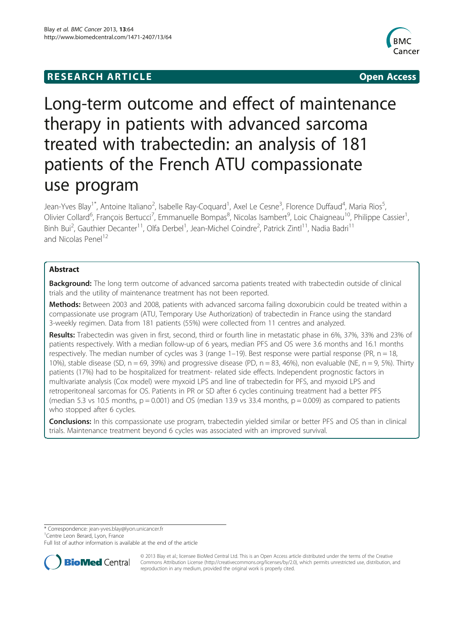# **RESEARCH ARTICLE Example 2014 12:30 The Community Community Community Community Community Community Community**



# Long-term outcome and effect of maintenance therapy in patients with advanced sarcoma treated with trabectedin: an analysis of 181 patients of the French ATU compassionate use program

Jean-Yves Blay<sup>1\*</sup>, Antoine Italiano<sup>2</sup>, Isabelle Ray-Coquard<sup>1</sup>, Axel Le Cesne<sup>3</sup>, Florence Duffaud<sup>4</sup>, Maria Rios<sup>5</sup> , Olivier Collard<sup>6</sup>, François Bertucci<sup>7</sup>, Emmanuelle Bompas<sup>8</sup>, Nicolas Isambert<sup>9</sup>, Loic Chaigneau<sup>10</sup>, Philippe Cassier<sup>1</sup> , Binh Bui<sup>2</sup>, Gauthier Decanter<sup>11</sup>, Olfa Derbel<sup>1</sup>, Jean-Michel Coindre<sup>2</sup>, Patrick Zintl<sup>11</sup>, Nadia Badri<sup>11</sup> and Nicolas Penel<sup>12</sup>

# Abstract

Background: The long term outcome of advanced sarcoma patients treated with trabectedin outside of clinical trials and the utility of maintenance treatment has not been reported.

Methods: Between 2003 and 2008, patients with advanced sarcoma failing doxorubicin could be treated within a compassionate use program (ATU, Temporary Use Authorization) of trabectedin in France using the standard 3-weekly regimen. Data from 181 patients (55%) were collected from 11 centres and analyzed.

Results: Trabectedin was given in first, second, third or fourth line in metastatic phase in 6%, 37%, 33% and 23% of patients respectively. With a median follow-up of 6 years, median PFS and OS were 3.6 months and 16.1 months respectively. The median number of cycles was 3 (range  $1-19$ ). Best response were partial response (PR,  $n = 18$ , 10%), stable disease (SD,  $n = 69$ , 39%) and progressive disease (PD,  $n = 83$ , 46%), non evaluable (NE,  $n = 9$ , 5%). Thirty patients (17%) had to be hospitalized for treatment- related side effects. Independent prognostic factors in multivariate analysis (Cox model) were myxoid LPS and line of trabectedin for PFS, and myxoid LPS and retroperitoneal sarcomas for OS. Patients in PR or SD after 6 cycles continuing treatment had a better PFS (median 5.3 vs 10.5 months,  $p = 0.001$ ) and OS (median 13.9 vs 33.4 months,  $p = 0.009$ ) as compared to patients who stopped after 6 cycles.

**Conclusions:** In this compassionate use program, trabectedin yielded similar or better PFS and OS than in clinical trials. Maintenance treatment beyond 6 cycles was associated with an improved survival.

\* Correspondence: [jean-yves.blay@lyon.unicancer.fr](mailto:jean-yves.blay@lyon.unicancer.fr) <sup>1</sup>

<sup>1</sup>Centre Leon Berard, Lyon, France

Full list of author information is available at the end of the article



© 2013 Blay et al.; licensee BioMed Central Ltd. This is an Open Access article distributed under the terms of the Creative Commons Attribution License [\(http://creativecommons.org/licenses/by/2.0\)](http://creativecommons.org/licenses/by/2.0), which permits unrestricted use, distribution, and reproduction in any medium, provided the original work is properly cited.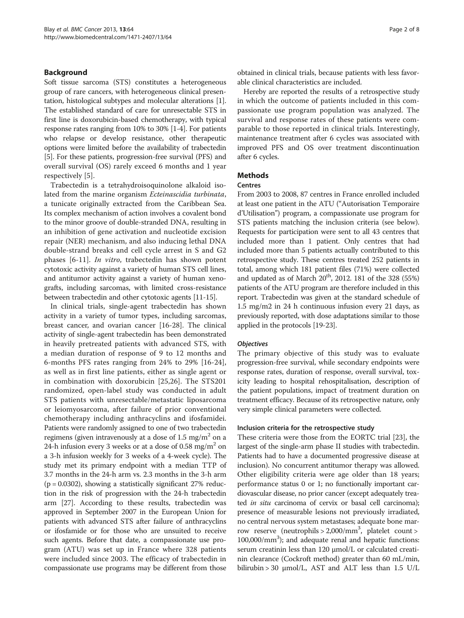#### Background

Soft tissue sarcoma (STS) constitutes a heterogeneous group of rare cancers, with heterogeneous clinical presentation, histological subtypes and molecular alterations [[1](#page-7-0)]. The established standard of care for unresectable STS in first line is doxorubicin-based chemotherapy, with typical response rates ranging from 10% to 30% [\[1-4](#page-7-0)]. For patients who relapse or develop resistance, other therapeutic options were limited before the availability of trabectedin [[5\]](#page-7-0). For these patients, progression-free survival (PFS) and overall survival (OS) rarely exceed 6 months and 1 year respectively [\[5](#page-7-0)].

Trabectedin is a tetrahydroisoquinolone alkaloid isolated from the marine organism Ecteinascidia turbinata, a tunicate originally extracted from the Caribbean Sea. Its complex mechanism of action involves a covalent bond to the minor groove of double-stranded DNA, resulting in an inhibition of gene activation and nucleotide excision repair (NER) mechanism, and also inducing lethal DNA double-strand breaks and cell cycle arrest in S and G2 phases [\[6](#page-7-0)-[11](#page-7-0)]. In vitro, trabectedin has shown potent cytotoxic activity against a variety of human STS cell lines, and antitumor activity against a variety of human xenografts, including sarcomas, with limited cross-resistance between trabectedin and other cytotoxic agents [\[11-15\]](#page-7-0).

In clinical trials, single-agent trabectedin has shown activity in a variety of tumor types, including sarcomas, breast cancer, and ovarian cancer [[16-28\]](#page-7-0). The clinical activity of single-agent trabectedin has been demonstrated in heavily pretreated patients with advanced STS, with a median duration of response of 9 to 12 months and 6-months PFS rates ranging from 24% to 29% [\[16-24](#page-7-0)], as well as in first line patients, either as single agent or in combination with doxorubicin [[25,26](#page-7-0)]. The STS201 randomized, open-label study was conducted in adult STS patients with unresectable/metastatic liposarcoma or leiomyosarcoma, after failure of prior conventional chemotherapy including anthracyclins and ifosfamidei. Patients were randomly assigned to one of two trabectedin regimens (given intravenously at a dose of  $1.5 \text{ mg/m}^2$  on a 24-h infusion every 3 weeks or at a dose of 0.58 mg/m<sup>2</sup> on a 3-h infusion weekly for 3 weeks of a 4-week cycle). The study met its primary endpoint with a median TTP of 3.7 months in the 24-h arm vs. 2.3 months in the 3-h arm  $(p = 0.0302)$ , showing a statistically significant 27% reduction in the risk of progression with the 24-h trabectedin arm [[27](#page-7-0)]. According to these results, trabectedin was approved in September 2007 in the European Union for patients with advanced STS after failure of anthracyclins or ifosfamide or for those who are unsuited to receive such agents. Before that date, a compassionate use program (ATU) was set up in France where 328 patients were included since 2003. The efficacy of trabectedin in compassionate use programs may be different from those obtained in clinical trials, because patients with less favorable clinical characteristics are included.

Hereby are reported the results of a retrospective study in which the outcome of patients included in this compassionate use program population was analyzed. The survival and response rates of these patients were comparable to those reported in clinical trials. Interestingly, maintenance treatment after 6 cycles was associated with improved PFS and OS over treatment discontinuation after 6 cycles.

#### Methods

#### Centres

From 2003 to 2008, 87 centres in France enrolled included at least one patient in the ATU ("Autorisation Temporaire d'Utilisation") program, a compassionate use program for STS patients matching the inclusion criteria (see below). Requests for participation were sent to all 43 centres that included more than 1 patient. Only centres that had included more than 5 patients actually contributed to this retrospective study. These centres treated 252 patients in total, among which 181 patient files (71%) were collected and updated as of March  $20<sup>th</sup>$ , 2012. 181 of the 328 (55%) patients of the ATU program are therefore included in this report. Trabectedin was given at the standard schedule of 1.5 mg/m2 in 24 h continuous infusion every 21 days, as previously reported, with dose adaptations similar to those applied in the protocols [[19](#page-7-0)-[23\]](#page-7-0).

#### **Objectives**

The primary objective of this study was to evaluate progression-free survival, while secondary endpoints were response rates, duration of response, overall survival, toxicity leading to hospital rehospitalisation, description of the patient populations, impact of treatment duration on treatment efficacy. Because of its retrospective nature, only very simple clinical parameters were collected.

#### Inclusion criteria for the retrospective study

These criteria were those from the EORTC trial [[23](#page-7-0)], the largest of the single-arm phase II studies with trabectedin. Patients had to have a documented progressive disease at inclusion). No concurrent antitumor therapy was allowed. Other eligibility criteria were age older than 18 years; performance status 0 or 1; no functionally important cardiovascular disease, no prior cancer (except adequately treated in situ carcinoma of cervix or basal cell carcinoma); presence of measurable lesions not previously irradiated, no central nervous system metastases; adequate bone marrow reserve (neutrophils > 2,000/mm<sup>3</sup>, platelet count > 100,000/mm3 ); and adequate renal and hepatic functions: serum creatinin less than 120 μmol/L or calculated creatinin clearance (Cockroft method) greater than 60 mL/min, bilirubin > 30 μmol/L, AST and ALT less than 1.5 U/L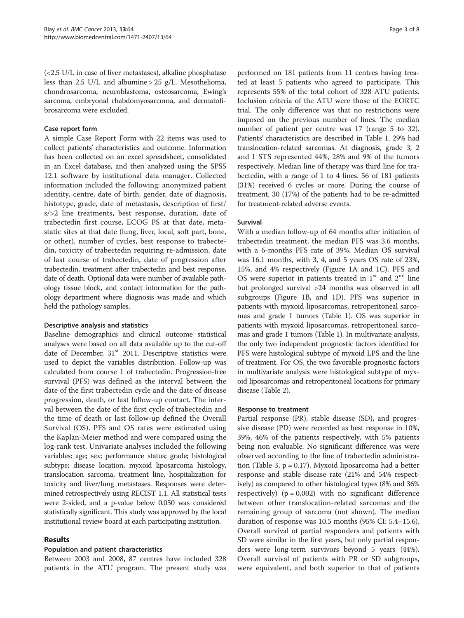(<2.5 U/L in case of liver metastases), alkaline phosphatase less than 2.5 U/L and albumine > 25 g/L. Mesothelioma, chondrosarcoma, neuroblastoma, osteosarcoma, Ewing's sarcoma, embryonal rhabdomyosarcoma, and dermatofibrosarcoma were excluded.

#### Case report form

A simple Case Report Form with 22 items was used to collect patients' characteristics and outcome. Information has been collected on an excel spreadsheet, consolidated in an Excel database, and then analyzed using the SPSS 12.1 software by institutional data manager. Collected information included the following: anonymized patient identity, centre, date of birth, gender, date of diagnosis, histotype, grade, date of metastasis, description of first/ s/>2 line treatments, best response, duration, date of trabectedin first course, ECOG PS at that date, metastatic sites at that date (lung, liver, local, soft part, bone, or other), number of cycles, best response to trabectedin, toxicity of trabectedin requiring re-admission, date of last course of trabectedin, date of progression after trabectedin, treatment after trabectedin and best response, date of death. Optional data were number of available pathology tissue block, and contact information for the pathology department where diagnosis was made and which held the pathology samples.

#### Descriptive analysis and statistics

Baseline demographics and clinical outcome statistical analyses were based on all data available up to the cut-off date of December,  $31<sup>st</sup>$  2011. Descriptive statistics were used to depict the variables distribution. Follow-up was calculated from course 1 of trabectedin. Progression-free survival (PFS) was defined as the interval between the date of the first trabectedin cycle and the date of disease progression, death, or last follow-up contact. The interval between the date of the first cycle of trabectedin and the time of death or last follow-up defined the Overall Survival (OS). PFS and OS rates were estimated using the Kaplan-Meier method and were compared using the log-rank test. Univariate analyses included the following variables: age; sex; performance status; grade; histological subtype; disease location, myxoid liposarcoma histology, translocation sarcoma, treatment line, hospitalization for toxicity and liver/lung metastases. Responses were determined retrospectively using RECIST 1.1. All statistical tests were 2-sided, and a p-value below 0.050 was considered statistically significant. This study was approved by the local institutional review board at each participating institution.

# Results

# Population and patient characteristics

Between 2003 and 2008, 87 centres have included 328 patients in the ATU program. The present study was

performed on 181 patients from 11 centres having treated at least 5 patients who agreed to participate. This represents 55% of the total cohort of 328 ATU patients. Inclusion criteria of the ATU were those of the EORTC trial. The only difference was that no restrictions were imposed on the previous number of lines. The median number of patient per centre was 17 (range 5 to 32). Patients' characteristics are described in Table [1.](#page-3-0) 29% had translocation-related sarcomas. At diagnosis, grade 3, 2 and 1 STS represented 44%, 28% and 9% of the tumors respectively. Median line of therapy was third line for trabectedin, with a range of 1 to 4 lines. 56 of 181 patients (31%) received 6 cycles or more. During the course of treatment, 30 (17%) of the patients had to be re-admitted for treatment-related adverse events.

#### Survival

With a median follow-up of 64 months after initiation of trabectedin treatment, the median PFS was 3.6 months, with a 6-months PFS rate of 39%. Median OS survival was 16.1 months, with 3, 4, and 5 years OS rate of 23%, 15%, and 4% respectively (Figure [1](#page-4-0)A and [1C](#page-4-0)). PFS and OS were superior in patients treated in  $1<sup>st</sup>$  and  $2<sup>nd</sup>$  line but prolonged survival >24 months was observed in all subgroups (Figure [1B](#page-4-0), and [1](#page-4-0)D). PFS was superior in patients with myxoid liposarcomas, retroperitoneal sarcomas and grade 1 tumors (Table [1](#page-3-0)). OS was superior in patients with myxoid liposarcomas, retroperitoneal sarcomas and grade 1 tumors (Table [1](#page-3-0)). In multivariate analysis, the only two independent prognostic factors identified for PFS were histological subtype of myxoid LPS and the line of treatment. For OS, the two favorable prognostic factors in multivariate analysis were histological subtype of myxoid liposarcomas and retroperitoneal locations for primary disease (Table [2\)](#page-5-0).

#### Response to treatment

Partial response (PR), stable disease (SD), and progressive disease (PD) were recorded as best response in 10%, 39%, 46% of the patients respectively, with 5% patients being non evaluable. No significant difference was were observed according to the line of trabectedin administration (Table [3](#page-5-0), p = 0.17). Myxoid liposarcoma had a better response and stable disease rate (21% and 54% respectively) as compared to other histological types (8% and 36% respectively)  $(p = 0.002)$  with no significant difference between other translocation-related sarcomas and the remaining group of sarcoma (not shown). The median duration of response was 10.5 months (95% CI: 5.4–15.6). Overall survival of partial responders and patients with SD were similar in the first years, but only partial responders were long-term survivors beyond 5 years (44%). Overall survival of patients with PR or SD subgroups, were equivalent, and both superior to that of patients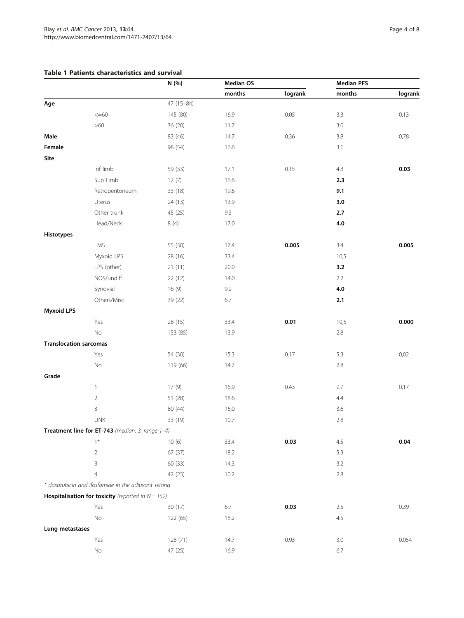# <span id="page-3-0"></span>Table 1 Patients characteristics and survival

|                               |                                                              | N (%)      | <b>Median OS</b> |         | <b>Median PFS</b> |         |
|-------------------------------|--------------------------------------------------------------|------------|------------------|---------|-------------------|---------|
|                               |                                                              |            | months           | logrank | months            | logrank |
| Age                           |                                                              | 47 (15-84) |                  |         |                   |         |
|                               | $<< = 60$                                                    | 145 (80)   | 16.9             | 0.05    | 3.3               | 0,13    |
|                               | $>60$                                                        | 36 (20)    | 11.7             |         | 3.0               |         |
| Male                          |                                                              | 83 (46)    | 14,7             | 0.36    | 3.8               | 0,78    |
| Female                        |                                                              | 98 (54)    | 16,6             |         | 3.1               |         |
| Site                          |                                                              |            |                  |         |                   |         |
|                               | Inf limb                                                     | 59 (33)    | 17.1             | 0.15    | $4.8\,$           | 0.03    |
|                               | Sup Limb                                                     | 12(7)      | 16.6             |         | 2.3               |         |
|                               | Retroperitoneum                                              | 33 (18)    | 19.6             |         | 9.1               |         |
|                               | Uterus                                                       | 24 (13)    | 13.9             |         | 3.0               |         |
|                               | Other trunk                                                  | 45 (25)    | 9.3              |         | 2.7               |         |
|                               | Head/Neck                                                    | 8(4)       | 17.0             |         | 4.0               |         |
| Histotypes                    |                                                              |            |                  |         |                   |         |
|                               | LMS                                                          | 55 (30)    | 17,4             | 0.005   | 3.4               | 0.005   |
|                               | Myxoid LPS                                                   | 28 (16)    | 33.4             |         | 10,5              |         |
|                               | LPS (other)                                                  | 21(11)     | 20.0             |         | 3.2               |         |
|                               | NOS/undiff.                                                  | 22(12)     | 14,0             |         | 2.2               |         |
|                               | Synovial                                                     | 16(9)      | 9.2              |         | $4.0\,$           |         |
|                               | Others/Misc                                                  | 39 (22)    | 6.7              |         | $2.1$             |         |
| <b>Myxoid LPS</b>             |                                                              |            |                  |         |                   |         |
|                               | Yes                                                          | 28 (15)    | 33.4             | 0.01    | 10,5              | 0.000   |
|                               | No                                                           | 153 (85)   | 13.9             |         | $2.8\,$           |         |
| <b>Translocation sarcomas</b> |                                                              |            |                  |         |                   |         |
|                               | Yes                                                          | 54 (30)    | 15.3             | 0.17    | 5.3               | 0,02    |
|                               | $\rm No$                                                     | 119 (66)   | 14.7             |         | $2.8\,$           |         |
| Grade                         |                                                              |            |                  |         |                   |         |
|                               | $\mathbf{1}$                                                 | 17(9)      | 16.9             | 0.43    | 9.7               | 0,17    |
|                               | $\overline{2}$                                               | 51 (28)    | 18.6             |         | 4.4               |         |
|                               | 3                                                            | 80 (44)    | 16.0             |         | 3.6               |         |
|                               | <b>UNK</b>                                                   | 33 (19)    | 10.7             |         | 2.8               |         |
|                               | Treatment line for ET-743 (median: 3, range 1-4)             |            |                  |         |                   |         |
|                               | $1*$                                                         | 10(6)      | 33.4             | 0.03    | 4.5               | 0.04    |
|                               | $\overline{2}$                                               | 67 (37)    | 18.2             |         | 5.3               |         |
|                               | 3                                                            | 60 (33)    | 14.3             |         | 3.2               |         |
|                               | 4                                                            | 42 (23)    | 10.2             |         | 2.8               |         |
|                               | * doxorubicin and ifosfamide in the adjuvant setting         |            |                  |         |                   |         |
|                               | <b>Hospitalisation for toxicity</b> (reported in $N = 152$ ) |            |                  |         |                   |         |
|                               | Yes                                                          | 30 (17)    | $6.7\,$          | 0.03    | $2.5\,$           | 0.39    |
|                               | $\rm No$                                                     | 122 (65)   | 18.2             |         | 4.5               |         |
| Lung metastases               |                                                              |            |                  |         |                   |         |
|                               | Yes                                                          | 128 (71)   | 14.7             | 0.93    | 3.0               | 0.054   |
|                               | $\rm No$                                                     | 47 (25)    | 16.9             |         | $6.7\,$           |         |
|                               |                                                              |            |                  |         |                   |         |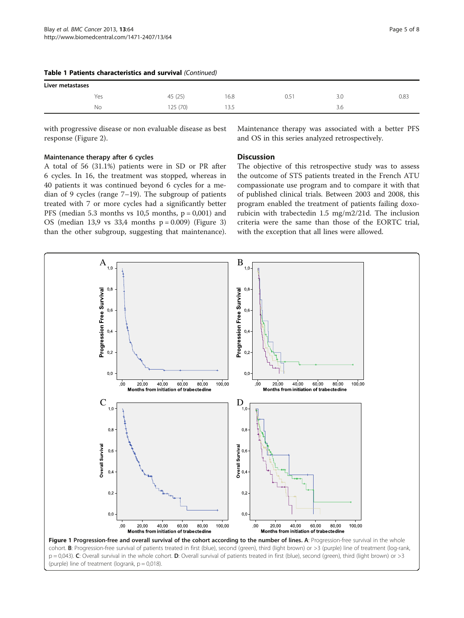| Liver metastases |          |      |       |     |      |  |  |
|------------------|----------|------|-------|-----|------|--|--|
| Yes              | 45 (25)  | 16.8 | ' כ.ט | 3.0 | 0.83 |  |  |
| No               | 125 (70) | 13.5 |       | 3.0 |      |  |  |

#### <span id="page-4-0"></span>Table 1 Patients characteristics and survival (Continued)

with progressive disease or non evaluable disease as best response (Figure [2](#page-5-0)).

#### Maintenance therapy after 6 cycles

A total of 56 (31.1%) patients were in SD or PR after 6 cycles. In 16, the treatment was stopped, whereas in 40 patients it was continued beyond 6 cycles for a median of 9 cycles (range 7–19). The subgroup of patients treated with 7 or more cycles had a significantly better PFS (median 5.3 months vs  $10,5$  months,  $p = 0,001$ ) and OS (median 13,9 vs 33,4 months p = 0.009) (Figure [3](#page-6-0)) than the other subgroup, suggesting that maintenance).

Maintenance therapy was associated with a better PFS and OS in this series analyzed retrospectively.

# **Discussion**

The objective of this retrospective study was to assess the outcome of STS patients treated in the French ATU compassionate use program and to compare it with that of published clinical trials. Between 2003 and 2008, this program enabled the treatment of patients failing doxorubicin with trabectedin 1.5 mg/m2/21d. The inclusion criteria were the same than those of the EORTC trial, with the exception that all lines were allowed.

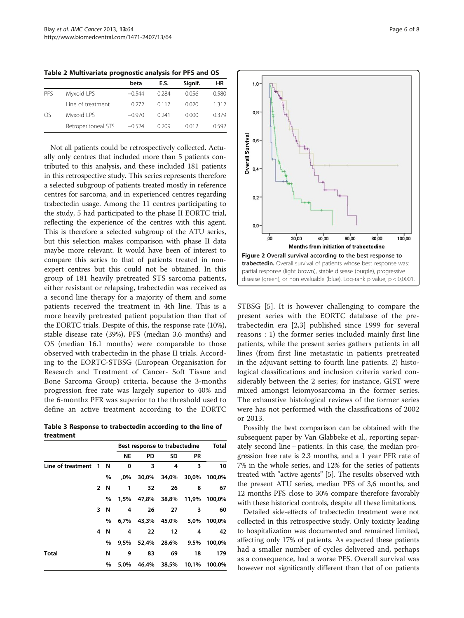|                |                     | beta     | E.S.  | Signif. | ΗR    |
|----------------|---------------------|----------|-------|---------|-------|
| PFS            | Myxoid LPS          | $-0.544$ | 0.284 | 0.056   | 0.580 |
|                | Line of treatment   | 0.272    | 0.117 | 0.020   | 1.312 |
| O <sub>S</sub> | Myxoid LPS          | $-0.970$ | 0.241 | 0.000   | 0.379 |
|                | Retroperitoneal STS | $-0.524$ | 0.209 | 0.012   | 0.592 |

<span id="page-5-0"></span>Table 2 Multivariate prognostic analysis for PFS and OS

Not all patients could be retrospectively collected. Actually only centres that included more than 5 patients contributed to this analysis, and these included 181 patients in this retrospective study. This series represents therefore a selected subgroup of patients treated mostly in reference centres for sarcoma, and in experienced centres regarding trabectedin usage. Among the 11 centres participating to the study, 5 had participated to the phase II EORTC trial, reflecting the experience of the centres with this agent. This is therefore a selected subgroup of the ATU series, but this selection makes comparison with phase II data maybe more relevant. It would have been of interest to compare this series to that of patients treated in nonexpert centres but this could not be obtained. In this group of 181 heavily pretreated STS sarcoma patients, either resistant or relapsing, trabectedin was received as a second line therapy for a majority of them and some patients received the treatment in 4th line. This is a more heavily pretreated patient population than that of the EORTC trials. Despite of this, the response rate (10%), stable disease rate (39%), PFS (median 3.6 months) and OS (median 16.1 months) were comparable to those observed with trabectedin in the phase II trials. According to the EORTC-STBSG (European Organisation for Research and Treatment of Cancer- Soft Tissue and Bone Sarcoma Group) criteria, because the 3-months progression free rate was largely superior to 40% and the 6-monthz PFR was superior to the threshold used to define an active treatment according to the EORTC

Table 3 Response to trabectedin according to the line of treatment

|                   |              |   | Best response to trabectedine |       |       |           | Total  |
|-------------------|--------------|---|-------------------------------|-------|-------|-----------|--------|
|                   |              |   | <b>NE</b>                     | PD    | SD    | <b>PR</b> |        |
| Line of treatment | 1            | N | 0                             | 3     | 4     | 3         | 10     |
|                   |              | % | .0%                           | 30.0% | 34,0% | 30,0%     | 100,0% |
|                   | $\mathbf{2}$ | N | 1                             | 32    | 26    | 8         | 67     |
|                   |              | % | 1.5%                          | 47.8% | 38,8% | 11,9%     | 100,0% |
|                   | 3            | N | 4                             | 26    | 27    | 3         | 60     |
|                   |              | % | 6.7%                          | 43,3% | 45,0% | 5,0%      | 100,0% |
|                   | 4            | N | 4                             | 22    | 12    | 4         | 42     |
|                   |              | % | 9,5%                          | 52,4% | 28,6% | 9.5%      | 100,0% |
| Total             |              | N | 9                             | 83    | 69    | 18        | 179    |
|                   |              | % | 5.0%                          | 46.4% | 38,5% | 10,1%     | 100,0% |



STBSG [[5\]](#page-7-0). It is however challenging to compare the present series with the EORTC database of the pretrabectedin era [\[2](#page-7-0),[3\]](#page-7-0) published since 1999 for several reasons : 1) the former series included mainly first line patients, while the present series gathers patients in all lines (from first line metastatic in patients pretreated in the adjuvant setting to fourth line patients. 2) histological classifications and inclusion criteria varied considerably between the 2 series; for instance, GIST were mixed amongst leiomyosarcoma in the former series. The exhaustive histological reviews of the former series were has not performed with the classifications of 2002 or 2013.

Possibly the best comparison can be obtained with the subsequent paper by Van Glabbeke et al., reporting separately second line + patients. In this case, the median progression free rate is 2.3 months, and a 1 year PFR rate of 7% in the whole series, and 12% for the series of patients treated with "active agents" [[5\]](#page-7-0). The results observed with the present ATU series, median PFS of 3,6 months, and 12 months PFS close to 30% compare therefore favorably with these historical controls, despite all these limitations.

Detailed side-effects of trabectedin treatment were not collected in this retrospective study. Only toxicity leading to hospitalization was documented and remained limited, affecting only 17% of patients. As expected these patients had a smaller number of cycles delivered and, perhaps as a consequence, had a worse PFS. Overall survival was however not significantly different than that of on patients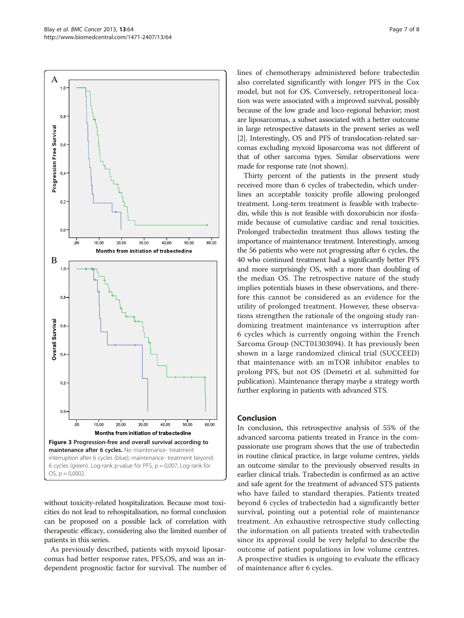<span id="page-6-0"></span>

without toxicity-related hospitalization. Because most toxicities do not lead to rehospitalisation, no formal conclusion can be proposed on a possible lack of correlation with therapeutic efficacy, considering also the limited number of patients in this series.

As previously described, patients with myxoid liposarcomas had better response rates, PFS,OS, and was an independent prognostic factor for survival. The number of lines of chemotherapy administered before trabectedin also correlated significantly with longer PFS in the Cox model, but not for OS. Conversely, retroperitoneal location was were associated with a improved survival, possibly because of the low grade and loco-regional behavior; most are liposarcomas, a subset associated with a better outcome in large retrospective datasets in the present series as well [[2](#page-7-0)]. Interestingly, OS and PFS of translocation-related sarcomas excluding myxoid liposarcoma was not different of that of other sarcoma types. Similar observations were made for response rate (not shown).

Thirty percent of the patients in the present study received more than 6 cycles of trabectedin, which underlines an acceptable toxicity profile allowing prolonged treatment. Long-term treatment is feasible with trabectedin, while this is not feasible with doxorubicin nor ifosfamide because of cumulative cardiac and renal toxicities. Prolonged trabectedin treatment thus allows testing the importance of maintenance treatment. Interestingly, among the 56 patients who were not progressing after 6 cycles, the 40 who continued treatment had a significantly better PFS and more surprisingly OS, with a more than doubling of the median OS. The retrospective nature of the study implies potentials biases in these observations, and therefore this cannot be considered as an evidence for the utility of prolonged treatment. However, these observations strengthen the rationale of the ongoing study randomizing treatment maintenance vs interruption after 6 cycles which is currently ongoing within the French Sarcoma Group (NCT01303094). It has previously been shown in a large randomized clinical trial (SUCCEED) that maintenance with an mTOR inhibitor enables to prolong PFS, but not OS (Demetri et al. submitted for publication). Maintenance therapy maybe a strategy worth further exploring in patients with advanced STS.

# Conclusion

In conclusion, this retrospective analysis of 55% of the advanced sarcoma patients treated in France in the compassionate use program shows that the use of trabectedin in routine clinical practice, in large volume centres, yields an outcome similar to the previously observed results in earlier clinical trials. Trabectedin is confirmed as an active and safe agent for the treatment of advanced STS patients who have failed to standard therapies. Patients treated beyond 6 cycles of trabectedin had a significantly better survival, pointing out a potential role of maintenance treatment. An exhaustive retrospective study collecting the information on all patients treated with trabectedin since its approval could be very helpful to describe the outcome of patient populations in low volume centres. A prospective studies is ongoing to evaluate the efficacy of maintenance after 6 cycles.